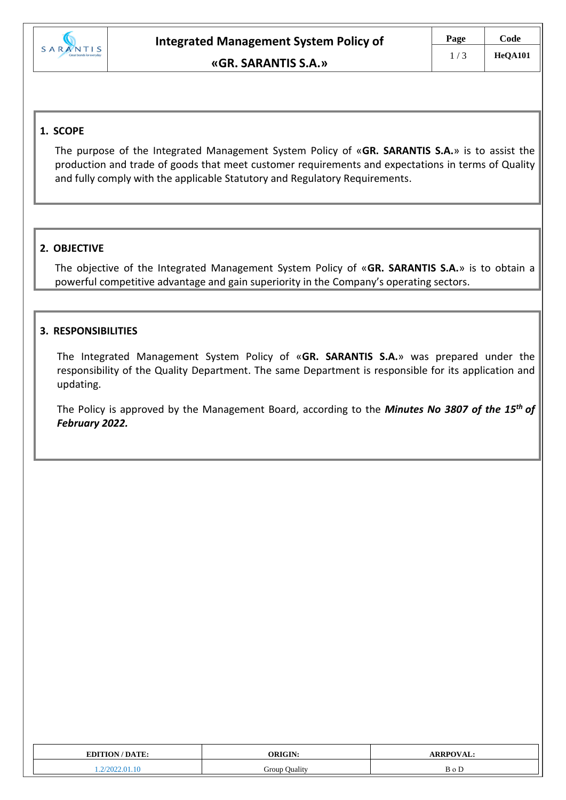

## **1. SCOPE**

The purpose of the Integrated Management System Policy of «**GR. SARANTIS S.A.**» is to assist the production and trade of goods that meet customer requirements and expectations in terms of Quality and fully comply with the applicable Statutory and Regulatory Requirements.

## **2. OBJECTIVE**

The objective of the Integrated Management System Policy of «**GR. SARANTIS S.A.**» is to obtain a powerful competitive advantage and gain superiority in the Company's operating sectors.

## **3. RESPONSIBILITIES**

The Integrated Management System Policy of «**GR. SARANTIS S.A.**» was prepared under the responsibility of the Quality Department. The same Department is responsible for its application and updating.

The Policy is approved by the Management Board, according to the *Minutes No 3807 of the 15th of February 2022.* 

| <b>EDITION/DATE:</b> | <b>ORIGIN:</b> | <b>ARRPOVAL:</b> |
|----------------------|----------------|------------------|
| ററ<br>.v<br>.        | Group Quality  | $\sim$<br>вог    |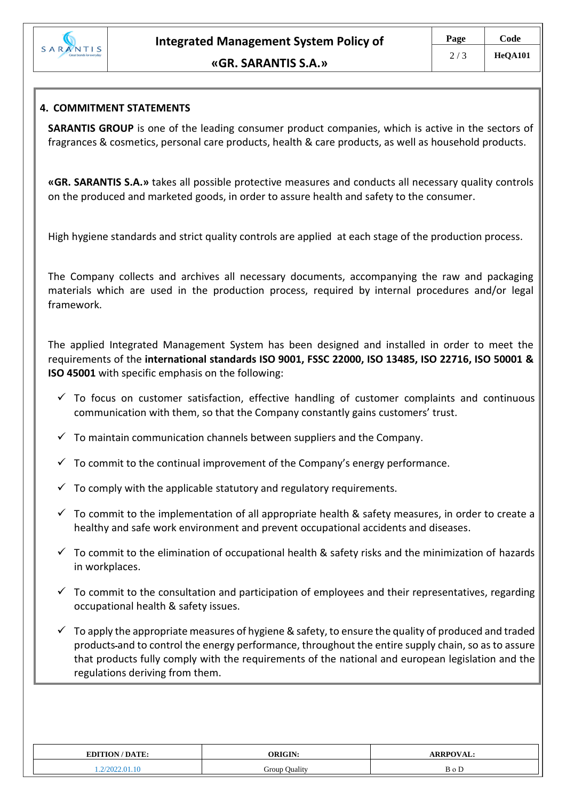

## **4. COMMITMENT STATEMENTS**

**SARANTIS GROUP** is one of the leading consumer product companies, which is active in the sectors of fragrances & cosmetics, personal care products, health & care products, as well as household products.

**«GR. SARANTIS S.A.»** takes all possible protective measures and conducts all necessary quality controls on the produced and marketed goods, in order to assure health and safety to the consumer.

High hygiene standards and strict quality controls are applied at each stage of the production process.

The Company collects and archives all necessary documents, accompanying the raw and packaging materials which are used in the production process, required by internal procedures and/or legal framework.

The applied Integrated Management System has been designed and installed in order to meet the requirements of the **international standards ISO 9001, FSSC 22000, ISO 13485, ISO 22716, ISO 50001 & ISO 45001** with specific emphasis on the following:

- $\checkmark$  To focus on customer satisfaction, effective handling of customer complaints and continuous communication with them, so that the Company constantly gains customers' trust.
- $\checkmark$  To maintain communication channels between suppliers and the Company.
- $\checkmark$  To commit to the continual improvement of the Company's energy performance.
- $\checkmark$  To comply with the applicable statutory and regulatory requirements.
- $\checkmark$  To commit to the implementation of all appropriate health & safety measures, in order to create a healthy and safe work environment and prevent occupational accidents and diseases.
- $\checkmark$  To commit to the elimination of occupational health & safety risks and the minimization of hazards in workplaces.
- $\checkmark$  To commit to the consultation and participation of employees and their representatives, regarding occupational health & safety issues.
- $\checkmark$  To apply the appropriate measures of hygiene & safety, to ensure the quality of produced and traded products and to control the energy performance, throughout the entire supply chain, so as to assure that products fully comply with the requirements of the national and european legislation and the regulations deriving from them.

| <b>EDITION/DATE:</b> | ORICIN        | $P_{\mathbf{D}}$ |
|----------------------|---------------|------------------|
| 2022.01.10           | Group Quality |                  |